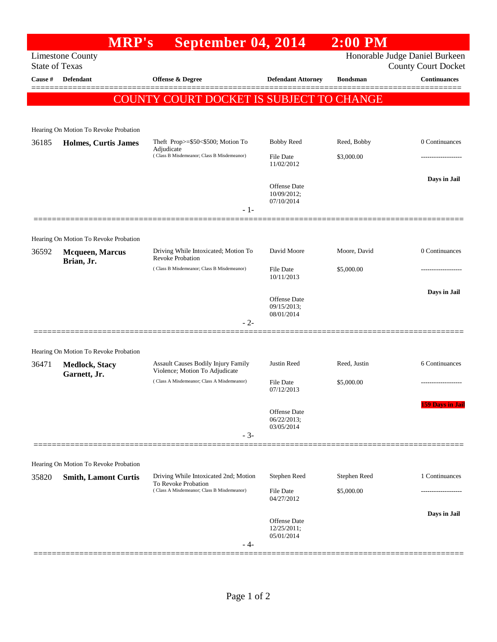|                       | <b>MRP's</b>                          | September 04, 2014                                                                                         |                                                              | $2:00$ PM       |                         |
|-----------------------|---------------------------------------|------------------------------------------------------------------------------------------------------------|--------------------------------------------------------------|-----------------|-------------------------|
| <b>State of Texas</b> | <b>Limestone County</b>               |                                                                                                            | Honorable Judge Daniel Burkeen<br><b>County Court Docket</b> |                 |                         |
| Cause #               | <b>Defendant</b>                      | <b>Offense &amp; Degree</b>                                                                                | <b>Defendant Attorney</b>                                    | <b>Bondsman</b> | <b>Continuances</b>     |
|                       |                                       | COUNTY COURT DOCKET IS SUBJECT TO CHANGE                                                                   |                                                              |                 |                         |
|                       |                                       |                                                                                                            |                                                              |                 |                         |
|                       | Hearing On Motion To Revoke Probation |                                                                                                            |                                                              |                 |                         |
| 36185                 | <b>Holmes, Curtis James</b>           | Theft Prop>=\$50<\$500; Motion To<br>Adjudicate<br>(Class B Misdemeanor; Class B Misdemeanor)              | <b>Bobby Reed</b>                                            | Reed, Bobby     | 0 Continuances          |
|                       |                                       |                                                                                                            | File Date<br>11/02/2012                                      | \$3,000.00      |                         |
|                       |                                       |                                                                                                            |                                                              |                 | Days in Jail            |
|                       |                                       |                                                                                                            | <b>Offense</b> Date<br>10/09/2012;                           |                 |                         |
|                       |                                       | $-1-$                                                                                                      | 07/10/2014                                                   |                 |                         |
|                       |                                       |                                                                                                            |                                                              |                 |                         |
|                       | Hearing On Motion To Revoke Probation |                                                                                                            |                                                              |                 |                         |
| 36592                 | <b>Mcqueen, Marcus</b><br>Brian, Jr.  | Driving While Intoxicated; Motion To<br><b>Revoke Probation</b>                                            | David Moore                                                  | Moore, David    | 0 Continuances          |
|                       |                                       | (Class B Misdemeanor; Class B Misdemeanor)                                                                 | File Date<br>10/11/2013                                      | \$5,000.00      |                         |
|                       |                                       |                                                                                                            |                                                              |                 | Days in Jail            |
|                       |                                       |                                                                                                            | Offense Date<br>09/15/2013;                                  |                 |                         |
|                       |                                       | $-2-$                                                                                                      | 08/01/2014                                                   |                 |                         |
|                       |                                       |                                                                                                            |                                                              |                 |                         |
|                       | Hearing On Motion To Revoke Probation |                                                                                                            |                                                              |                 |                         |
| 36471                 | <b>Medlock, Stacy</b><br>Garnett, Jr. | Assault Causes Bodily Injury Family<br>Violence; Motion To Adjudicate                                      | Justin Reed                                                  | Reed, Justin    | 6 Continuances          |
|                       |                                       | (Class A Misdemeanor; Class A Misdemeanor)                                                                 | File Date<br>07/12/2013                                      | \$5,000.00      | -----------------       |
|                       |                                       |                                                                                                            |                                                              |                 | <b>159 Days in Jail</b> |
|                       |                                       |                                                                                                            | <b>Offense</b> Date<br>06/22/2013;                           |                 |                         |
|                       |                                       | $-3-$                                                                                                      | 03/05/2014                                                   |                 |                         |
|                       |                                       |                                                                                                            |                                                              |                 |                         |
|                       | Hearing On Motion To Revoke Probation |                                                                                                            |                                                              |                 |                         |
| 35820                 | <b>Smith, Lamont Curtis</b>           | Driving While Intoxicated 2nd; Motion<br>To Revoke Probation<br>(Class A Misdemeanor; Class B Misdemeanor) | Stephen Reed                                                 | Stephen Reed    | 1 Continuances          |
|                       |                                       |                                                                                                            | File Date<br>04/27/2012                                      | \$5,000.00      |                         |
|                       |                                       |                                                                                                            |                                                              |                 | Days in Jail            |
|                       |                                       |                                                                                                            | Offense Date<br>12/25/2011;                                  |                 |                         |
|                       |                                       | - 4-                                                                                                       | 05/01/2014                                                   |                 |                         |
|                       |                                       |                                                                                                            |                                                              |                 |                         |